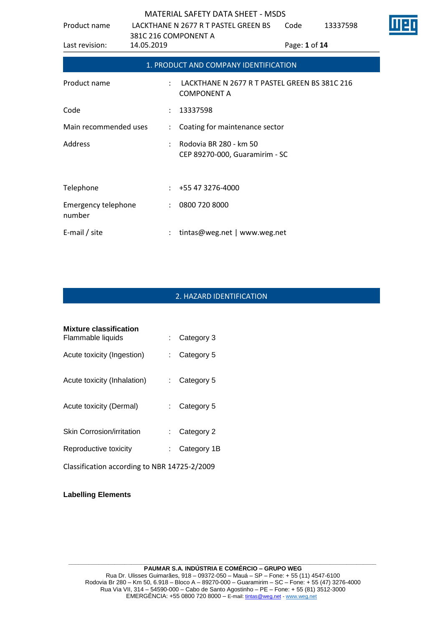| Product name                  | LACKTHANE N 2677 R T PASTEL GREEN BS |                             | Code                                                                | 13337598      |  |  |  |
|-------------------------------|--------------------------------------|-----------------------------|---------------------------------------------------------------------|---------------|--|--|--|
| Last revision:                | 381C 216 COMPONENT A<br>14.05.2019   |                             |                                                                     | Page: 1 of 14 |  |  |  |
|                               |                                      |                             | 1. PRODUCT AND COMPANY IDENTIFICATION                               |               |  |  |  |
| Product name                  |                                      |                             | LACKTHANE N 2677 R T PASTEL GREEN BS 381C 216<br><b>COMPONENT A</b> |               |  |  |  |
| Code                          |                                      |                             | 13337598                                                            |               |  |  |  |
| Main recommended uses         |                                      | $\mathcal{L}^{\mathcal{L}}$ | Coating for maintenance sector                                      |               |  |  |  |
| Address                       |                                      | ÷                           | Rodovia BR 280 - km 50<br>CEP 89270-000, Guaramirim - SC            |               |  |  |  |
| Telephone                     |                                      |                             | $: +55473276-4000$                                                  |               |  |  |  |
| Emergency telephone<br>number |                                      | $\mathcal{L}$               | 0800 720 8000                                                       |               |  |  |  |
| E-mail $/$ site               |                                      |                             | tintas@weg.net   www.weg.net                                        |               |  |  |  |

# 2. HAZARD IDENTIFICATION

| Mixture classification<br>Flammable liquids  | Category 3              |
|----------------------------------------------|-------------------------|
| Acute toxicity (Ingestion)                   | Category 5              |
| Acute toxicity (Inhalation)                  | Category 5              |
| Acute toxicity (Dermal)                      | $\therefore$ Category 5 |
| Skin Corrosion/irritation                    | Category 2              |
| Reproductive toxicity                        | Category 1B             |
| Classification according to NBR 14725-2/2009 |                         |

**Labelling Elements**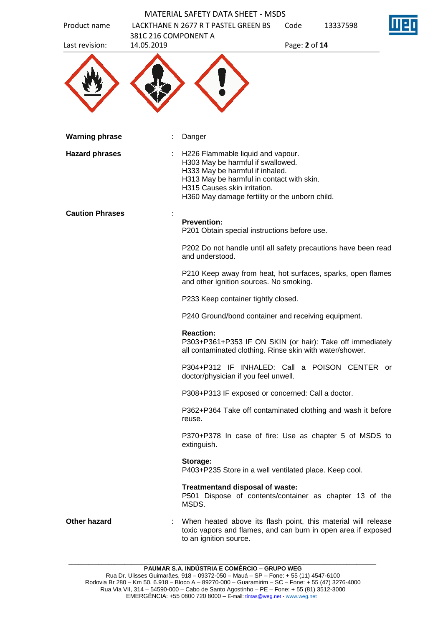| Product name           | <b>MATERIAL SAFETY DATA SHEET - MSDS</b><br>LACKTHANE N 2677 R T PASTEL GREEN BS                                                                                                                                                         | Code | 13337598      |  |  |
|------------------------|------------------------------------------------------------------------------------------------------------------------------------------------------------------------------------------------------------------------------------------|------|---------------|--|--|
| Last revision:         | 381C 216 COMPONENT A<br>14.05.2019                                                                                                                                                                                                       |      | Page: 2 of 14 |  |  |
|                        |                                                                                                                                                                                                                                          |      |               |  |  |
| <b>Warning phrase</b>  | Danger                                                                                                                                                                                                                                   |      |               |  |  |
| <b>Hazard phrases</b>  | H226 Flammable liquid and vapour.<br>H303 May be harmful if swallowed.<br>H333 May be harmful if inhaled.<br>H313 May be harmful in contact with skin.<br>H315 Causes skin irritation.<br>H360 May damage fertility or the unborn child. |      |               |  |  |
| <b>Caution Phrases</b> | <b>Prevention:</b>                                                                                                                                                                                                                       |      |               |  |  |
|                        | P201 Obtain special instructions before use.                                                                                                                                                                                             |      |               |  |  |
|                        | P202 Do not handle until all safety precautions have been read<br>and understood.                                                                                                                                                        |      |               |  |  |
|                        | P210 Keep away from heat, hot surfaces, sparks, open flames<br>and other ignition sources. No smoking.                                                                                                                                   |      |               |  |  |
|                        | P233 Keep container tightly closed.                                                                                                                                                                                                      |      |               |  |  |
|                        | P240 Ground/bond container and receiving equipment.                                                                                                                                                                                      |      |               |  |  |
|                        | <b>Reaction:</b><br>P303+P361+P353 IF ON SKIN (or hair): Take off immediately<br>all contaminated clothing. Rinse skin with water/shower.                                                                                                |      |               |  |  |
|                        | P304+P312 IF INHALED: Call a POISON CENTER or<br>doctor/physician if you feel unwell.                                                                                                                                                    |      |               |  |  |
|                        | P308+P313 IF exposed or concerned: Call a doctor.                                                                                                                                                                                        |      |               |  |  |
|                        | P362+P364 Take off contaminated clothing and wash it before<br>reuse.                                                                                                                                                                    |      |               |  |  |
|                        | P370+P378 In case of fire: Use as chapter 5 of MSDS to<br>extinguish.                                                                                                                                                                    |      |               |  |  |
|                        | Storage:<br>P403+P235 Store in a well ventilated place. Keep cool.                                                                                                                                                                       |      |               |  |  |
|                        | Treatmentand disposal of waste:<br>P501 Dispose of contents/container as chapter 13 of the<br>MSDS.                                                                                                                                      |      |               |  |  |
| <b>Other hazard</b>    | When heated above its flash point, this material will release<br>toxic vapors and flames, and can burn in open area if exposed<br>to an ignition source.                                                                                 |      |               |  |  |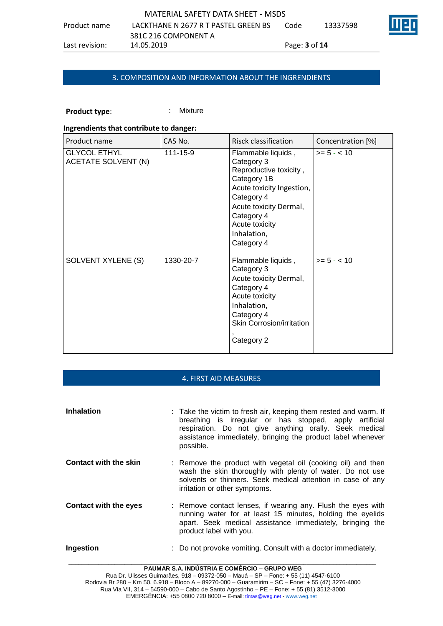| MATERIAL SAFETY DATA SHEET - MSDS |                                      |                   |          |  |  |  |
|-----------------------------------|--------------------------------------|-------------------|----------|--|--|--|
| Product name                      | LACKTHANE N 2677 R T PASTEL GREEN BS | Code              | 13337598 |  |  |  |
|                                   | 381C 216 COMPONENT A                 |                   |          |  |  |  |
| Last revision:                    | 14.05.2019                           | Page: $3$ of $14$ |          |  |  |  |

# 3. COMPOSITION AND INFORMATION ABOUT THE INGRENDIENTS

# **Product type:** : : : : : Mixture

#### **Ingrendients that contribute to danger:**

| Product name                               | CAS No.   | Risck classification                                                                                                                                                                                        | Concentration [%] |
|--------------------------------------------|-----------|-------------------------------------------------------------------------------------------------------------------------------------------------------------------------------------------------------------|-------------------|
| <b>GLYCOL ETHYL</b><br>ACETATE SOLVENT (N) | 111-15-9  | Flammable liquids,<br>Category 3<br>Reproductive toxicity,<br>Category 1B<br>Acute toxicity Ingestion,<br>Category 4<br>Acute toxicity Dermal,<br>Category 4<br>Acute toxicity<br>Inhalation,<br>Category 4 | $>= 5 - < 10$     |
| SOLVENT XYLENE (S)                         | 1330-20-7 | Flammable liquids,<br>Category 3<br>Acute toxicity Dermal,<br>Category 4<br>Acute toxicity<br>Inhalation,<br>Category 4<br><b>Skin Corrosion/irritation</b><br>Category 2                                   | $>= 5 - < 10$     |

#### 4. FIRST AID MEASURES

| <b>Inhalation</b>            | : Take the victim to fresh air, keeping them rested and warm. If<br>breathing is irregular or has stopped, apply artificial<br>respiration. Do not give anything orally. Seek medical<br>assistance immediately, bringing the product label whenever<br>possible. |
|------------------------------|-------------------------------------------------------------------------------------------------------------------------------------------------------------------------------------------------------------------------------------------------------------------|
| <b>Contact with the skin</b> | : Remove the product with vegetal oil (cooking oil) and then<br>wash the skin thoroughly with plenty of water. Do not use<br>solvents or thinners. Seek medical attention in case of any<br>irritation or other symptoms.                                         |
| <b>Contact with the eyes</b> | : Remove contact lenses, if wearing any. Flush the eyes with<br>running water for at least 15 minutes, holding the eyelids<br>apart. Seek medical assistance immediately, bringing the<br>product label with you.                                                 |
| Ingestion                    | Do not provoke vomiting. Consult with a doctor immediately.                                                                                                                                                                                                       |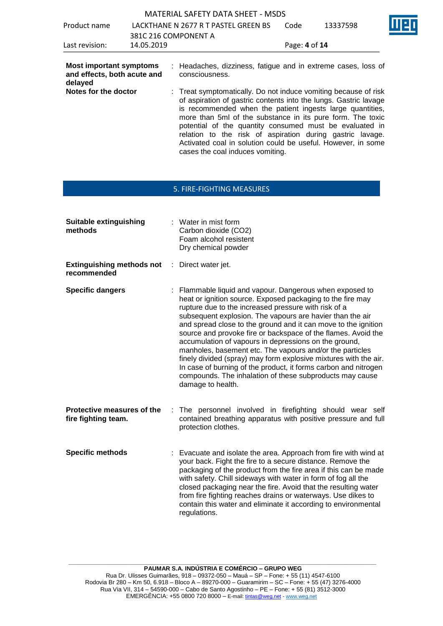|                                                                                                  |                                      | <b>MATERIAL SAFETY DATA SHEET - MSDS</b>                                       |                                                                                                                                                                                                                                                                                                                                                                                                                                                         |      |               |  |
|--------------------------------------------------------------------------------------------------|--------------------------------------|--------------------------------------------------------------------------------|---------------------------------------------------------------------------------------------------------------------------------------------------------------------------------------------------------------------------------------------------------------------------------------------------------------------------------------------------------------------------------------------------------------------------------------------------------|------|---------------|--|
| Product name                                                                                     | LACKTHANE N 2677 R T PASTEL GREEN BS |                                                                                |                                                                                                                                                                                                                                                                                                                                                                                                                                                         | Code | 13337598      |  |
| Last revision:                                                                                   |                                      | 381C 216 COMPONENT A<br>14.05.2019                                             |                                                                                                                                                                                                                                                                                                                                                                                                                                                         |      | Page: 4 of 14 |  |
| <b>Most important symptoms</b><br>and effects, both acute and<br>delayed<br>Notes for the doctor |                                      | consciousness.<br>Activated coal in solution could be useful. However, in some | : Headaches, dizziness, fatigue and in extreme cases, loss of<br>: Treat symptomatically. Do not induce vomiting because of risk<br>of aspiration of gastric contents into the lungs. Gastric lavage<br>is recommended when the patient ingests large quantities,<br>more than 5ml of the substance in its pure form. The toxic<br>potential of the quantity consumed must be evaluated in<br>relation to the risk of aspiration during gastric lavage. |      |               |  |

#### 5. FIRE-FIGHTING MEASURES

cases the coal induces vomiting.

| <b>Suitable extinguishing</b><br>methods              | : Water in mist form<br>Carbon dioxide (CO2)<br>Foam alcohol resistent<br>Dry chemical powder                                                                                                                                                                                                                                                                                                                                                                                                                                                                                                                                                                                                                               |
|-------------------------------------------------------|-----------------------------------------------------------------------------------------------------------------------------------------------------------------------------------------------------------------------------------------------------------------------------------------------------------------------------------------------------------------------------------------------------------------------------------------------------------------------------------------------------------------------------------------------------------------------------------------------------------------------------------------------------------------------------------------------------------------------------|
| <b>Extinguishing methods not</b><br>t.<br>recommended | Direct water jet.                                                                                                                                                                                                                                                                                                                                                                                                                                                                                                                                                                                                                                                                                                           |
| <b>Specific dangers</b>                               | : Flammable liquid and vapour. Dangerous when exposed to<br>heat or ignition source. Exposed packaging to the fire may<br>rupture due to the increased pressure with risk of a<br>subsequent explosion. The vapours are havier than the air<br>and spread close to the ground and it can move to the ignition<br>source and provoke fire or backspace of the flames. Avoid the<br>accumulation of vapours in depressions on the ground,<br>manholes, basement etc. The vapours and/or the particles<br>finely divided (spray) may form explosive mixtures with the air.<br>In case of burning of the product, it forms carbon and nitrogen<br>compounds. The inhalation of these subproducts may cause<br>damage to health. |
| Protective measures of the<br>fire fighting team.     | The personnel involved in firefighting should wear self<br>contained breathing apparatus with positive pressure and full<br>protection clothes.                                                                                                                                                                                                                                                                                                                                                                                                                                                                                                                                                                             |
| <b>Specific methods</b>                               | Evacuate and isolate the area. Approach from fire with wind at<br>your back. Fight the fire to a secure distance. Remove the<br>packaging of the product from the fire area if this can be made<br>with safety. Chill sideways with water in form of fog all the<br>closed packaging near the fire. Avoid that the resulting water<br>from fire fighting reaches drains or waterways. Use dikes to<br>contain this water and eliminate it according to environmental<br>regulations.                                                                                                                                                                                                                                        |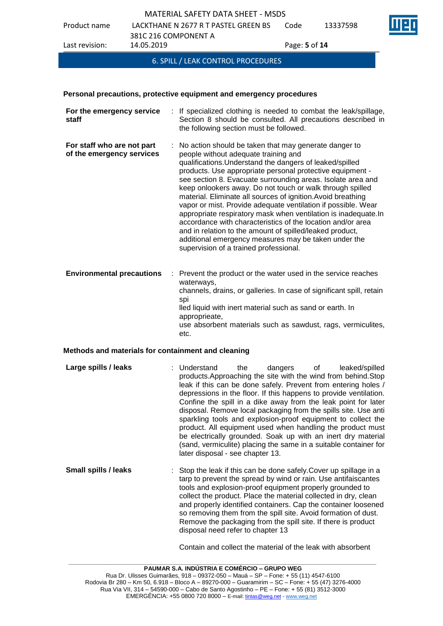Product name LACKTHANE N 2677 R T PASTEL GREEN BS 381C 216 COMPONENT A Code 13337598 Last revision: 14.05.2019 Page: **5** of **14**

6. SPILL / LEAK CONTROL PROCEDURES

# **Personal precautions, protective equipment and emergency procedures**

| For the emergency service<br>÷.<br>staff                | If specialized clothing is needed to combat the leak/spillage,<br>Section 8 should be consulted. All precautions described in<br>the following section must be followed.                                                                                                                                                                                                                                                                                                                                                                                                                                                                                                                                                                                                           |
|---------------------------------------------------------|------------------------------------------------------------------------------------------------------------------------------------------------------------------------------------------------------------------------------------------------------------------------------------------------------------------------------------------------------------------------------------------------------------------------------------------------------------------------------------------------------------------------------------------------------------------------------------------------------------------------------------------------------------------------------------------------------------------------------------------------------------------------------------|
| For staff who are not part<br>of the emergency services | No action should be taken that may generate danger to<br>people without adequate training and<br>qualifications. Understand the dangers of leaked/spilled<br>products. Use appropriate personal protective equipment -<br>see section 8. Evacuate surrounding areas. Isolate area and<br>keep onlookers away. Do not touch or walk through spilled<br>material. Eliminate all sources of ignition. Avoid breathing<br>vapor or mist. Provide adequate ventilation if possible. Wear<br>appropriate respiratory mask when ventilation is inadequate.In<br>accordance with characteristics of the location and/or area<br>and in relation to the amount of spilled/leaked product,<br>additional emergency measures may be taken under the<br>supervision of a trained professional. |
| <b>Environmental precautions</b><br>÷.                  | Prevent the product or the water used in the service reaches<br>waterways,<br>channels, drains, or galleries. In case of significant spill, retain<br>spi<br>lled liquid with inert material such as sand or earth. In<br>approprieate,<br>use absorbent materials such as sawdust, rags, vermiculites,<br>etc.                                                                                                                                                                                                                                                                                                                                                                                                                                                                    |

#### **Methods and materials for containment and cleaning**

| Large spills / leaks | : Understand<br>products. Approaching the site with the wind from behind. Stop<br>leak if this can be done safely. Prevent from entering holes / | the | dangers of |  | leaked/spilled |  |
|----------------------|--------------------------------------------------------------------------------------------------------------------------------------------------|-----|------------|--|----------------|--|
|                      | depressions in the floor. If this happens to provide ventilation.<br>Confine the spill in a dike away from the leak point for later              |     |            |  |                |  |
|                      |                                                                                                                                                  |     |            |  |                |  |
|                      | disposal. Remove local packaging from the spills site. Use anti<br>sparkling tools and explosion-proof equipment to collect the                  |     |            |  |                |  |
|                      |                                                                                                                                                  |     |            |  |                |  |
|                      | product. All equipment used when handling the product must                                                                                       |     |            |  |                |  |
|                      | be electrically grounded. Soak up with an inert dry material                                                                                     |     |            |  |                |  |
|                      | (sand, vermiculite) placing the same in a suitable container for<br>later disposal - see chapter 13.                                             |     |            |  |                |  |

**Small spills / leaks** : Stop the leak if this can be done safely. Cover up spillage in a tarp to prevent the spread by wind or rain. Use antifaiscantes tools and explosion-proof equipment properly grounded to collect the product. Place the material collected in dry, clean and properly identified containers. Cap the container loosened so removing them from the spill site. Avoid formation of dust. Remove the packaging from the spill site. If there is product disposal need refer to chapter 13

Contain and collect the material of the leak with absorbent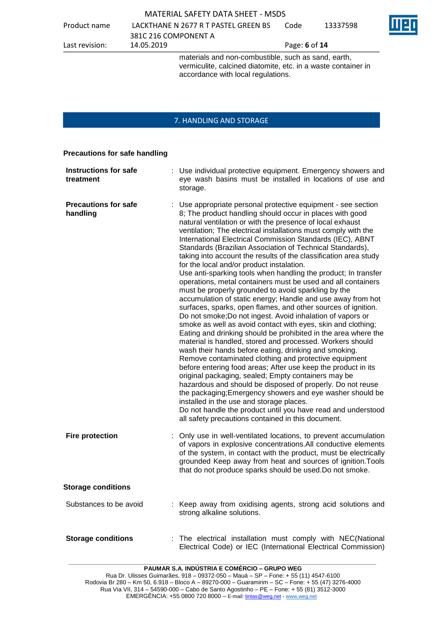Product name LACKTHANE N 2677 R T PASTEL GREEN BS 381C 216 COMPONENT A Code 13337598

Last revision: 14.05.2019 Page: **6** of **14**

materials and non-combustible, such as sand, earth, vermiculite, calcined diatomite, etc. in a waste container in accordance with local regulations.

# 7. HANDLING AND STORAGE

#### **Precautions for safe handling**

| <b>Instructions for safe</b><br>treatment | : Use individual protective equipment. Emergency showers and<br>eye wash basins must be installed in locations of use and<br>storage.                                                                                                                                                                                                                                                                                                                                                                                                                                                                                                                                                                                                                                                                                                                                                                                                                                                                                                                                                                                                                                                                                                                                                                                                                                                                                                                                                                                                                                                                                          |
|-------------------------------------------|--------------------------------------------------------------------------------------------------------------------------------------------------------------------------------------------------------------------------------------------------------------------------------------------------------------------------------------------------------------------------------------------------------------------------------------------------------------------------------------------------------------------------------------------------------------------------------------------------------------------------------------------------------------------------------------------------------------------------------------------------------------------------------------------------------------------------------------------------------------------------------------------------------------------------------------------------------------------------------------------------------------------------------------------------------------------------------------------------------------------------------------------------------------------------------------------------------------------------------------------------------------------------------------------------------------------------------------------------------------------------------------------------------------------------------------------------------------------------------------------------------------------------------------------------------------------------------------------------------------------------------|
| <b>Precautions for safe</b><br>handling   | Use appropriate personal protective equipment - see section<br>8; The product handling should occur in places with good<br>natural ventilation or with the presence of local exhaust<br>ventilation; The electrical installations must comply with the<br>International Electrical Commission Standards (IEC), ABNT<br>Standards (Brazilian Association of Technical Standards),<br>taking into account the results of the classification area study<br>for the local and/or product instalation.<br>Use anti-sparking tools when handling the product; In transfer<br>operations, metal containers must be used and all containers<br>must be properly grounded to avoid sparkling by the<br>accumulation of static energy; Handle and use away from hot<br>surfaces, sparks, open flames, and other sources of ignition.<br>Do not smoke; Do not ingest. Avoid inhalation of vapors or<br>smoke as well as avoid contact with eyes, skin and clothing;<br>Eating and drinking should be prohibited in the area where the<br>material is handled, stored and processed. Workers should<br>wash their hands before eating, drinking and smoking.<br>Remove contaminated clothing and protective equipment<br>before entering food areas; After use keep the product in its<br>original packaging, sealed; Empty containers may be<br>hazardous and should be disposed of properly. Do not reuse<br>the packaging; Emergency showers and eye washer should be<br>installed in the use and storage places.<br>Do not handle the product until you have read and understood<br>all safety precautions contained in this document. |
| <b>Fire protection</b>                    | : Only use in well-ventilated locations, to prevent accumulation<br>of vapors in explosive concentrations. All conductive elements<br>of the system, in contact with the product, must be electrically<br>grounded Keep away from heat and sources of ignition. Tools<br>that do not produce sparks should be used. Do not smoke.                                                                                                                                                                                                                                                                                                                                                                                                                                                                                                                                                                                                                                                                                                                                                                                                                                                                                                                                                                                                                                                                                                                                                                                                                                                                                              |
| <b>Storage conditions</b>                 |                                                                                                                                                                                                                                                                                                                                                                                                                                                                                                                                                                                                                                                                                                                                                                                                                                                                                                                                                                                                                                                                                                                                                                                                                                                                                                                                                                                                                                                                                                                                                                                                                                |
| Substances to be avoid                    | : Keep away from oxidising agents, strong acid solutions and<br>strong alkaline solutions.                                                                                                                                                                                                                                                                                                                                                                                                                                                                                                                                                                                                                                                                                                                                                                                                                                                                                                                                                                                                                                                                                                                                                                                                                                                                                                                                                                                                                                                                                                                                     |
| <b>Storage conditions</b>                 | The electrical installation must comply with NEC(National<br>Electrical Code) or IEC (International Electrical Commission)                                                                                                                                                                                                                                                                                                                                                                                                                                                                                                                                                                                                                                                                                                                                                                                                                                                                                                                                                                                                                                                                                                                                                                                                                                                                                                                                                                                                                                                                                                     |

**\_\_\_\_\_\_\_\_\_\_\_\_\_\_\_\_\_\_\_\_\_\_\_\_\_\_\_\_\_\_\_\_\_\_\_\_\_\_\_\_\_\_\_\_\_\_\_\_\_\_\_\_\_\_\_\_\_\_\_\_\_\_\_\_\_\_\_\_\_\_\_\_\_\_\_\_\_\_\_\_\_\_\_\_\_\_\_\_\_\_\_\_\_ PAUMAR S.A. INDÚSTRIA E COMÉRCIO – GRUPO WEG**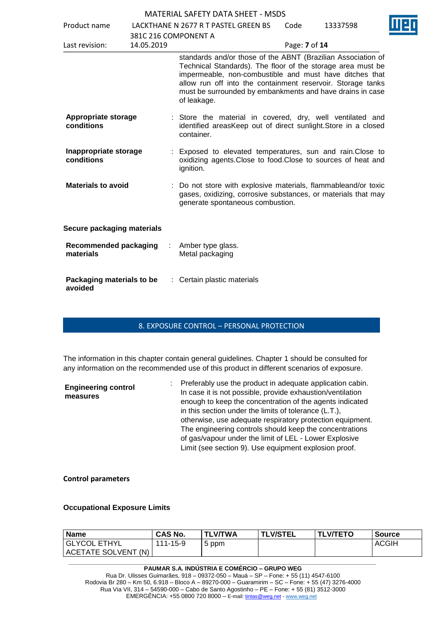| Product name                              |                      | LACKTHANE N 2677 R T PASTEL GREEN BS                                                                                                                                                                                                                                                                                              | Code          | 13337598 |
|-------------------------------------------|----------------------|-----------------------------------------------------------------------------------------------------------------------------------------------------------------------------------------------------------------------------------------------------------------------------------------------------------------------------------|---------------|----------|
|                                           | 381C 216 COMPONENT A |                                                                                                                                                                                                                                                                                                                                   |               |          |
| Last revision:                            | 14.05.2019           |                                                                                                                                                                                                                                                                                                                                   | Page: 7 of 14 |          |
|                                           |                      | standards and/or those of the ABNT (Brazilian Association of<br>Technical Standards). The floor of the storage area must be<br>impermeable, non-combustible and must have ditches that<br>allow run off into the containment reservoir. Storage tanks<br>must be surrounded by embankments and have drains in case<br>of leakage. |               |          |
| Appropriate storage<br>conditions         |                      | : Store the material in covered, dry, well ventilated and<br>identified areasKeep out of direct sunlight. Store in a closed<br>container.                                                                                                                                                                                         |               |          |
| Inappropriate storage<br>conditions       |                      | : Exposed to elevated temperatures, sun and rain. Close to<br>oxidizing agents. Close to food. Close to sources of heat and<br>ignition.                                                                                                                                                                                          |               |          |
| <b>Materials to avoid</b>                 |                      | : Do not store with explosive materials, flammableand/or toxic<br>gases, oxidizing, corrosive substances, or materials that may<br>generate spontaneous combustion.                                                                                                                                                               |               |          |
| Secure packaging materials                |                      |                                                                                                                                                                                                                                                                                                                                   |               |          |
| <b>Recommended packaging</b><br>materials |                      | Amber type glass.<br>Metal packaging                                                                                                                                                                                                                                                                                              |               |          |
| Packaging materials to be<br>avoided      |                      | : Certain plastic materials                                                                                                                                                                                                                                                                                                       |               |          |

#### 8. EXPOSURE CONTROL – PERSONAL PROTECTION

The information in this chapter contain general guidelines. Chapter 1 should be consulted for any information on the recommended use of this product in different scenarios of exposure.

| <b>Engineering control</b><br>measures | : Preferably use the product in adequate application cabin.<br>In case it is not possible, provide exhaustion/ventilation<br>enough to keep the concentration of the agents indicated<br>in this section under the limits of tolerance (L.T.),<br>otherwise, use adequate respiratory protection equipment.<br>The engineering controls should keep the concentrations<br>of gas/vapour under the limit of LEL - Lower Explosive<br>Limit (see section 9). Use equipment explosion proof. |  |
|----------------------------------------|-------------------------------------------------------------------------------------------------------------------------------------------------------------------------------------------------------------------------------------------------------------------------------------------------------------------------------------------------------------------------------------------------------------------------------------------------------------------------------------------|--|
|                                        |                                                                                                                                                                                                                                                                                                                                                                                                                                                                                           |  |

**Control parameters**

#### **Occupational Exposure Limits**

| <b>Name</b>         | <b>CAS No.</b> | <b>TLV/TWA</b> | <b>TLV/STEL</b> | <b>TLV/TETO</b> | Source |
|---------------------|----------------|----------------|-----------------|-----------------|--------|
| GLYCOL ETHYL        | 111-15-9       | 5 ppm          |                 |                 | ACGIH  |
| ACETATE SOLVENT (N) |                |                |                 |                 |        |

**PAUMAR S.A. INDÚSTRIA E COMÉRCIO – GRUPO WEG** Rua Dr. Ulisses Guimarães, 918 – 09372-050 – Mauá – SP – Fone: + 55 (11) 4547-6100 Rodovia Br 280 – Km 50, 6.918 – Bloco A – 89270-000 – Guaramirim – SC – Fone: + 55 (47) 3276-4000 Rua Via VII, 314 – 54590-000 – Cabo de Santo Agostinho – PE – Fone: + 55 (81) 3512-3000 EMERGËNCIA: +55 0800 720 8000 – E-mail[: tintas@weg.net](mailto:tintas@weg.net) - [www.weg.net](http://www.weg.net/)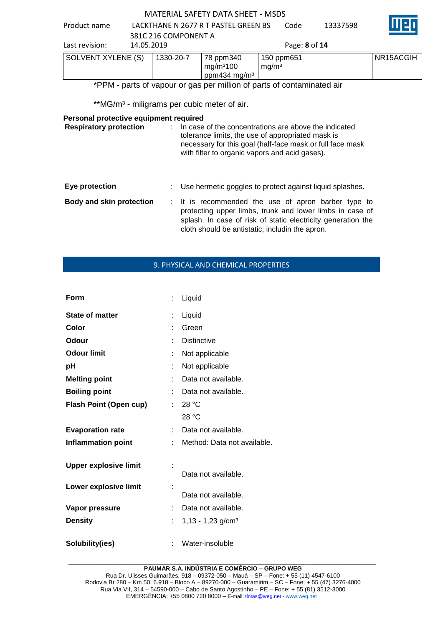Product name LACKTHANE N 2677 R T PASTEL GREEN BS 381C 216 COMPONENT A Code 13337598



| 14.05.2019<br>Last revision: |           |                                                                | Page: 8 of 14                   |           |
|------------------------------|-----------|----------------------------------------------------------------|---------------------------------|-----------|
| SOLVENT XYLENE (S)           | 1330-20-7 | 78 ppm340<br>mg/m <sup>3</sup> 100<br>ppm434 mg/m <sup>3</sup> | 150 ppm651<br>mg/m <sup>3</sup> | NR15ACGIH |

# \*PPM - parts of vapour or gas per million of parts of contaminated air

\*\*MG/m<sup>3</sup> - miligrams per cubic meter of air.

#### **Personal protective equipment required**

| <b>Respiratory protection</b> | In case of the concentrations are above the indicated<br>tolerance limits, the use of appropriated mask is<br>necessary for this goal (half-face mask or full face mask<br>with filter to organic vapors and acid gases).          |
|-------------------------------|------------------------------------------------------------------------------------------------------------------------------------------------------------------------------------------------------------------------------------|
| Eye protection                | Use hermetic goggles to protect against liquid splashes.                                                                                                                                                                           |
| Body and skin protection      | : It is recommended the use of apron barber type to<br>protecting upper limbs, trunk and lower limbs in case of<br>splash. In case of risk of static electricity generation the<br>cloth should be antistatic, includin the apron. |

# 9. PHYSICAL AND CHEMICAL PROPERTIES

| Form                          | ÷. | Liquid                          |
|-------------------------------|----|---------------------------------|
| <b>State of matter</b>        | ÷  | Liquid                          |
| Color                         |    | Green                           |
| Odour                         |    | <b>Distinctive</b>              |
| <b>Odour limit</b>            | ÷  | Not applicable                  |
| рH                            |    | Not applicable                  |
| <b>Melting point</b>          |    | Data not available.             |
| <b>Boiling point</b>          |    | Data not available.             |
| <b>Flash Point (Open cup)</b> |    | 28 °C                           |
|                               |    | 28 °C                           |
| <b>Evaporation rate</b>       | t. | Data not available.             |
| <b>Inflammation point</b>     |    | Method: Data not available.     |
| <b>Upper explosive limit</b>  |    | Data not available.             |
| Lower explosive limit         |    | Data not available.             |
| Vapor pressure                |    | Data not available.             |
| <b>Density</b>                | ÷. | $1,13 - 1,23$ g/cm <sup>3</sup> |
| Solubility(ies)               |    | Water-insoluble                 |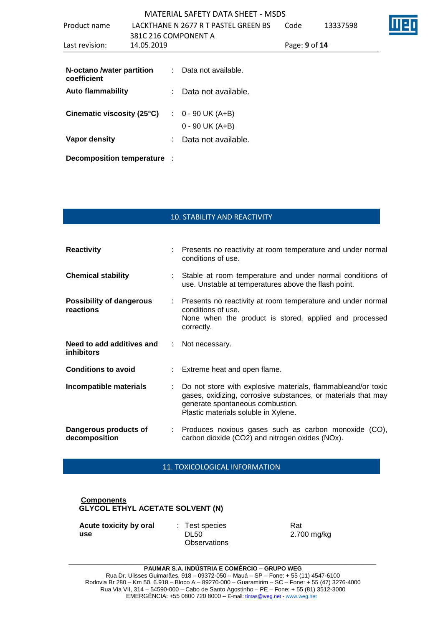|                             |            | <b>MATERIAL SAFETY DATA SHEET - MSDS</b> |               |          |  |
|-----------------------------|------------|------------------------------------------|---------------|----------|--|
| Product name                |            | LACKTHANE N 2677 R T PASTEL GREEN BS     | Code          | 13337598 |  |
|                             |            | 381C 216 COMPONENT A                     |               |          |  |
| Last revision:              | 14.05.2019 |                                          | Page: 9 of 14 |          |  |
| N-octano /water partition   |            | : Data not available.                    |               |          |  |
| coefficient                 |            |                                          |               |          |  |
| <b>Auto flammability</b>    |            | Data not available.                      |               |          |  |
| Cinematic viscosity (25°C)  |            | $\therefore$ 0 - 90 UK (A+B)             |               |          |  |
|                             |            | $0 - 90$ UK (A+B)                        |               |          |  |
| Vapor density               |            | Data not available.                      |               |          |  |
| Decomposition temperature : |            |                                          |               |          |  |

# 10. STABILITY AND REACTIVITY

| <b>Reactivity</b>                              |                           | : Presents no reactivity at room temperature and under normal<br>conditions of use.                                                                                                                       |  |  |
|------------------------------------------------|---------------------------|-----------------------------------------------------------------------------------------------------------------------------------------------------------------------------------------------------------|--|--|
| <b>Chemical stability</b>                      |                           | Stable at room temperature and under normal conditions of<br>use. Unstable at temperatures above the flash point.                                                                                         |  |  |
| <b>Possibility of dangerous</b><br>reactions   | $\mathbb{Z}^{\mathbb{Z}}$ | Presents no reactivity at room temperature and under normal<br>conditions of use.<br>None when the product is stored, applied and processed<br>correctly.                                                 |  |  |
| Need to add additives and<br><b>inhibitors</b> | ÷.                        | Not necessary.                                                                                                                                                                                            |  |  |
| <b>Conditions to avoid</b>                     |                           | : Extreme heat and open flame.                                                                                                                                                                            |  |  |
| Incompatible materials                         |                           | Do not store with explosive materials, flammableand/or toxic<br>gases, oxidizing, corrosive substances, or materials that may<br>generate spontaneous combustion.<br>Plastic materials soluble in Xylene. |  |  |
| Dangerous products of<br>decomposition         |                           | : Produces noxious gases such as carbon monoxide (CO),<br>carbon dioxide (CO2) and nitrogen oxides (NOx).                                                                                                 |  |  |

11. TOXICOLOGICAL INFORMATION

#### **Components GLYCOL ETHYL ACETATE SOLVENT (N)**

**Acute toxicity by oral use**

: Test species DL50 **Observations**  Rat 2.700 mg/kg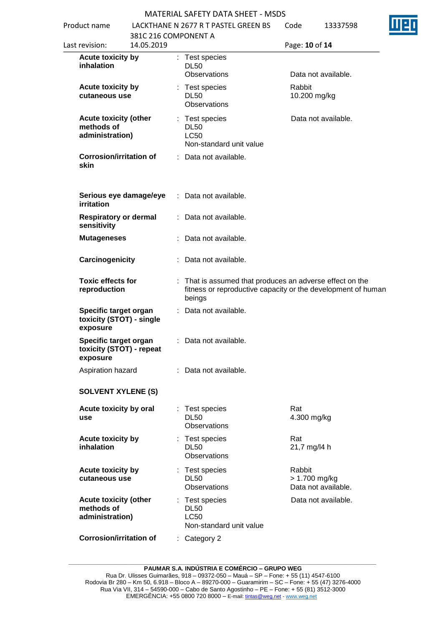Product name LACKTHANE N 2677 R T PASTEL GREEN BS  $13337500$ 

| Product name<br>Last revision: |                                                               | LACKI HANE IN 2077 K I PASIEL GREEN BS<br>381C 216 COMPONENT A |  | coue                                                                    |                                                                                                                        | 1333/398                |                     |
|--------------------------------|---------------------------------------------------------------|----------------------------------------------------------------|--|-------------------------------------------------------------------------|------------------------------------------------------------------------------------------------------------------------|-------------------------|---------------------|
|                                |                                                               | 14.05.2019                                                     |  |                                                                         | Page: 10 of 14                                                                                                         |                         |                     |
|                                | <b>Acute toxicity by</b><br>inhalation                        |                                                                |  | : Test species<br><b>DL50</b><br><b>Observations</b>                    |                                                                                                                        |                         | Data not available. |
|                                | <b>Acute toxicity by</b><br>cutaneous use                     |                                                                |  | Test species<br><b>DL50</b><br>Observations                             |                                                                                                                        | Rabbit<br>10.200 mg/kg  |                     |
|                                | <b>Acute toxicity (other</b><br>methods of<br>administration) |                                                                |  | Test species<br><b>DL50</b><br><b>LC50</b><br>Non-standard unit value   |                                                                                                                        |                         | Data not available. |
|                                | <b>Corrosion/irritation of</b><br>skin                        |                                                                |  | : Data not available.                                                   |                                                                                                                        |                         |                     |
|                                | Serious eye damage/eye<br>irritation                          |                                                                |  | : Data not available.                                                   |                                                                                                                        |                         |                     |
|                                | <b>Respiratory or dermal</b><br>sensitivity                   |                                                                |  | : Data not available.                                                   |                                                                                                                        |                         |                     |
|                                | <b>Mutageneses</b>                                            |                                                                |  | Data not available.                                                     |                                                                                                                        |                         |                     |
|                                | Carcinogenicity                                               |                                                                |  | : Data not available.                                                   |                                                                                                                        |                         |                     |
|                                | <b>Toxic effects for</b><br>reproduction                      |                                                                |  | beings                                                                  | That is assumed that produces an adverse effect on the<br>fitness or reproductive capacity or the development of human |                         |                     |
|                                | Specific target organ<br>toxicity (STOT) - single<br>exposure |                                                                |  | Data not available.                                                     |                                                                                                                        |                         |                     |
|                                | Specific target organ<br>toxicity (STOT) - repeat<br>exposure |                                                                |  | : Data not available.                                                   |                                                                                                                        |                         |                     |
|                                | Aspiration hazard                                             |                                                                |  | : Data not available.                                                   |                                                                                                                        |                         |                     |
|                                | <b>SOLVENT XYLENE (S)</b>                                     |                                                                |  |                                                                         |                                                                                                                        |                         |                     |
|                                | Acute toxicity by oral<br>use                                 |                                                                |  | Test species<br><b>DL50</b><br>Observations                             |                                                                                                                        | Rat<br>4.300 mg/kg      |                     |
|                                | Acute toxicity by<br>inhalation                               |                                                                |  | Test species<br><b>DL50</b><br>Observations                             |                                                                                                                        | Rat<br>21,7 mg/l4 h     |                     |
|                                | <b>Acute toxicity by</b><br>cutaneous use                     |                                                                |  | Test species<br><b>DL50</b><br>Observations                             |                                                                                                                        | Rabbit<br>> 1.700 mg/kg | Data not available. |
|                                | <b>Acute toxicity (other</b><br>methods of<br>administration) |                                                                |  | : Test species<br><b>DL50</b><br><b>LC50</b><br>Non-standard unit value |                                                                                                                        |                         | Data not available. |
|                                | <b>Corrosion/irritation of</b>                                |                                                                |  | $:$ Category 2                                                          |                                                                                                                        |                         |                     |

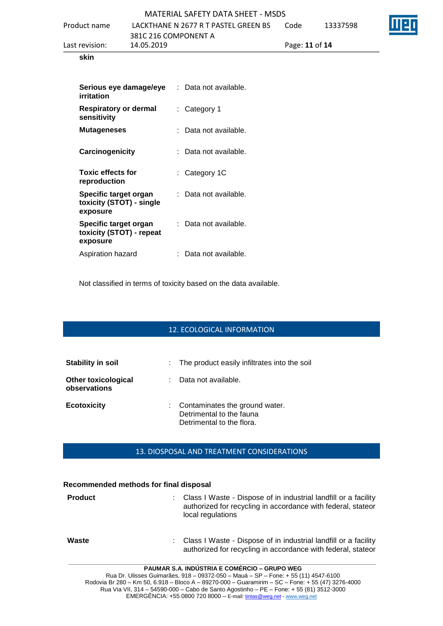| Last revision: | 14.05.2019                           | Page: 11 of 14 |          |      |
|----------------|--------------------------------------|----------------|----------|------|
|                | 381C 216 COMPONENT A                 |                |          |      |
| Product name   | LACKTHANE N 2677 R T PASTEL GREEN BS | Code           | 13337598 | IIIE |
|                | MATERIAL SAFETY DATA SHEET - MSDS    |                |          |      |
|                |                                      |                |          |      |

#### **skin**

| Serious eye damage/eye<br>irritation                          | : Data not available.   |
|---------------------------------------------------------------|-------------------------|
| <b>Respiratory or dermal</b><br>sensitivity                   | : Category 1            |
| <b>Mutageneses</b>                                            | Data not available.     |
| Carcinogenicity                                               | : Data not available.   |
| <b>Toxic effects for</b><br>reproduction                      | : Category 1C           |
| Specific target organ<br>toxicity (STOT) - single<br>exposure | :   Data not available. |
| Specific target organ<br>toxicity (STOT) - repeat<br>exposure | : Data not available.   |
| Aspiration hazard                                             | Data not available.     |

Not classified in terms of toxicity based on the data available.

# 12. ECOLOGICAL INFORMATION

| Stability in soil                          | : The product easily infiltrates into the soil                                          |
|--------------------------------------------|-----------------------------------------------------------------------------------------|
| <b>Other toxicological</b><br>observations | Data not available.                                                                     |
| <b>Ecotoxicity</b>                         | Contaminates the ground water.<br>Detrimental to the fauna<br>Detrimental to the flora. |

# 13. DIOSPOSAL AND TREATMENT CONSIDERATIONS

#### **Recommended methods for final disposal**

| <b>Product</b> | Class I Waste - Dispose of in industrial landfill or a facility<br>÷.<br>authorized for recycling in accordance with federal, stateor<br>local regulations                                   |
|----------------|----------------------------------------------------------------------------------------------------------------------------------------------------------------------------------------------|
| Waste          | : Class I Waste - Dispose of in industrial landfill or a facility<br>authorized for recycling in accordance with federal, stateor<br><b>DAUBLAD Q A INDÚATRIA E AGMÉRAIO</b><br>ADIIBA IIIFA |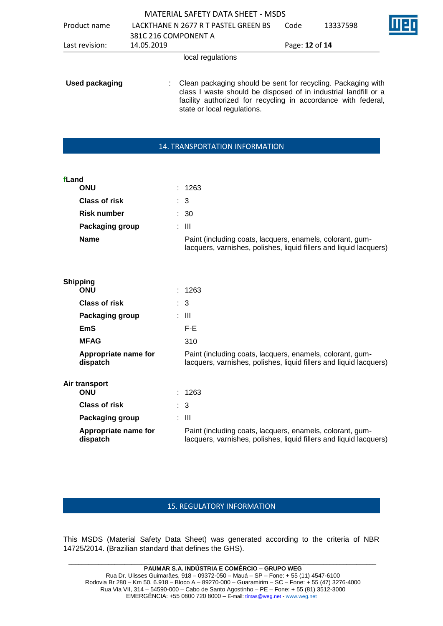|                       |                                                                                                                                                                                                                                 | MATERIAL SAFETY DATA SHEET - MSDS    |                |          |  |
|-----------------------|---------------------------------------------------------------------------------------------------------------------------------------------------------------------------------------------------------------------------------|--------------------------------------|----------------|----------|--|
| Product name          |                                                                                                                                                                                                                                 | LACKTHANE N 2677 R T PASTEL GREEN BS | Code           | 13337598 |  |
|                       | 381C 216 COMPONENT A                                                                                                                                                                                                            |                                      |                |          |  |
| Last revision:        | 14.05.2019                                                                                                                                                                                                                      |                                      | Page: 12 of 14 |          |  |
|                       |                                                                                                                                                                                                                                 | local regulations                    |                |          |  |
| <b>Used packaging</b> | Clean packaging should be sent for recycling. Packaging with<br>class I waste should be disposed of in industrial landfill or a<br>facility authorized for recycling in accordance with federal,<br>state or local regulations. |                                      |                |          |  |

#### 14. TRANSPORTATION INFORMATION

| fLand                            |                                                                                                                                 |
|----------------------------------|---------------------------------------------------------------------------------------------------------------------------------|
| <b>ONU</b>                       | : 1263                                                                                                                          |
| <b>Class of risk</b>             | $\therefore$ 3                                                                                                                  |
| <b>Risk number</b>               | : 30                                                                                                                            |
| Packaging group                  | $\pm$ 111                                                                                                                       |
| <b>Name</b>                      | Paint (including coats, lacquers, enamels, colorant, gum-<br>lacquers, varnishes, polishes, liquid fillers and liquid lacquers) |
|                                  |                                                                                                                                 |
| <b>Shipping</b>                  |                                                                                                                                 |
| <b>ONU</b>                       | : 1263                                                                                                                          |
| <b>Class of risk</b>             | $\therefore$ 3                                                                                                                  |
| Packaging group                  | : III                                                                                                                           |
| <b>EmS</b>                       | F-E                                                                                                                             |
| <b>MFAG</b>                      | 310                                                                                                                             |
| Appropriate name for<br>dispatch | Paint (including coats, lacquers, enamels, colorant, gum-<br>lacquers, varnishes, polishes, liquid fillers and liquid lacquers) |
| Air transport<br><b>ONU</b>      | : 1263                                                                                                                          |
| <b>Class of risk</b>             | 3                                                                                                                               |

| <b>Class of risk</b>             | : 3                                                                                                                             |
|----------------------------------|---------------------------------------------------------------------------------------------------------------------------------|
| <b>Packaging group</b>           | : III                                                                                                                           |
| Appropriate name for<br>dispatch | Paint (including coats, lacquers, enamels, colorant, gum-<br>lacquers, varnishes, polishes, liquid fillers and liquid lacquers) |

# 15. REGULATORY INFORMATION

This MSDS (Material Safety Data Sheet) was generated according to the criteria of NBR 14725/2014. (Brazilian standard that defines the GHS).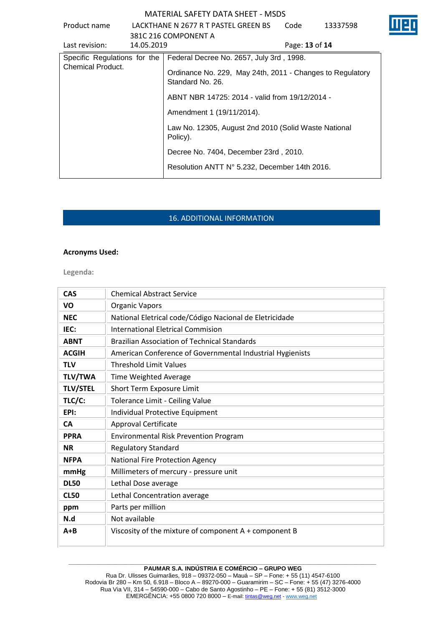|                              |            | 181A LINAL JALLI DATA JIILLI 1819DJ                                           |                |          |
|------------------------------|------------|-------------------------------------------------------------------------------|----------------|----------|
| Product name                 |            | LACKTHANE N 2677 R T PASTEL GREEN BS                                          | Code           | 13337598 |
|                              |            | 381C 216 COMPONENT A                                                          |                |          |
| Last revision:               | 14.05.2019 |                                                                               | Page: 13 of 14 |          |
| Specific Regulations for the |            | Federal Decree No. 2657, July 3rd, 1998.                                      |                |          |
| Chemical Product.            |            | Ordinance No. 229, May 24th, 2011 - Changes to Regulatory<br>Standard No. 26. |                |          |
|                              |            | ABNT NBR 14725: 2014 - valid from 19/12/2014 -                                |                |          |
|                              |            | Amendment 1 (19/11/2014).                                                     |                |          |
|                              |            | Law No. 12305, August 2nd 2010 (Solid Waste National<br>Policy).              |                |          |
|                              |            | Decree No. 7404, December 23rd, 2010.                                         |                |          |
|                              |            | Resolution ANTT N° 5.232, December 14th 2016.                                 |                |          |

# 16. ADDITIONAL INFORMATION

#### **Acronyms Used:**

**Legenda:**

| <b>CAS</b>      | <b>Chemical Abstract Service</b>                          |
|-----------------|-----------------------------------------------------------|
| VO              | <b>Organic Vapors</b>                                     |
| <b>NEC</b>      | National Eletrical code/Código Nacional de Eletricidade   |
| IEC:            | <b>International Eletrical Commision</b>                  |
| <b>ABNT</b>     | <b>Brazilian Association of Technical Standards</b>       |
| <b>ACGIH</b>    | American Conference of Governmental Industrial Hygienists |
| <b>TLV</b>      | <b>Threshold Limit Values</b>                             |
| <b>TLV/TWA</b>  | Time Weighted Average                                     |
| <b>TLV/STEL</b> | Short Term Exposure Limit                                 |
| TLC/C:          | Tolerance Limit - Ceiling Value                           |
| EPI:            | Individual Protective Equipment                           |
| <b>CA</b>       | <b>Approval Certificate</b>                               |
| <b>PPRA</b>     | <b>Environmental Risk Prevention Program</b>              |
| <b>NR</b>       | <b>Regulatory Standard</b>                                |
| <b>NFPA</b>     | <b>National Fire Protection Agency</b>                    |
| mmHg            | Millimeters of mercury - pressure unit                    |
| <b>DL50</b>     | Lethal Dose average                                       |
| <b>CL50</b>     | Lethal Concentration average                              |
| ppm             | Parts per million                                         |
| N.d             | Not available                                             |
| $A + B$         | Viscosity of the mixture of component $A + component B$   |